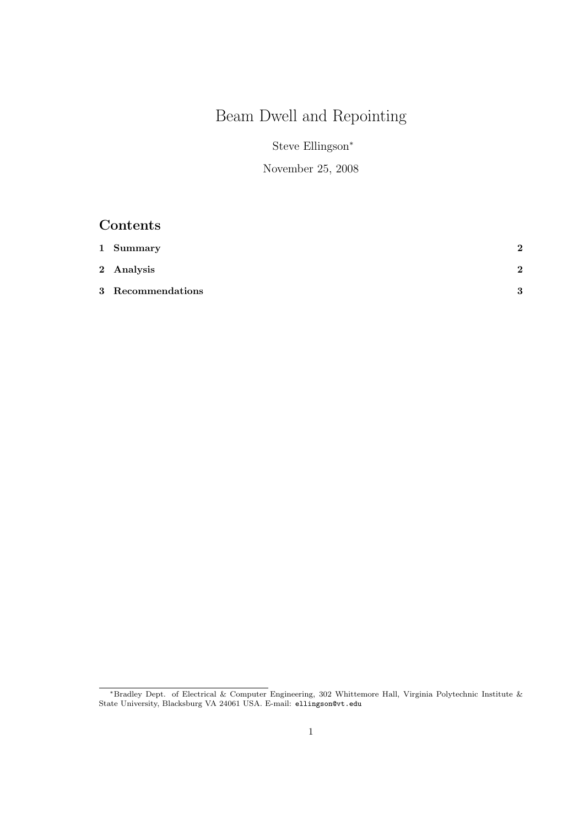# Beam Dwell and Repointing

Steve Ellingson<sup>∗</sup>

November 25, 2008

## Contents

| 1 Summary         | 2            |
|-------------------|--------------|
| 2 Analysis        | $\mathbf{p}$ |
| 3 Recommendations | $\mathbf{Q}$ |

<sup>∗</sup>Bradley Dept. of Electrical & Computer Engineering, 302 Whittemore Hall, Virginia Polytechnic Institute & State University, Blacksburg VA 24061 USA. E-mail: ellingson@vt.edu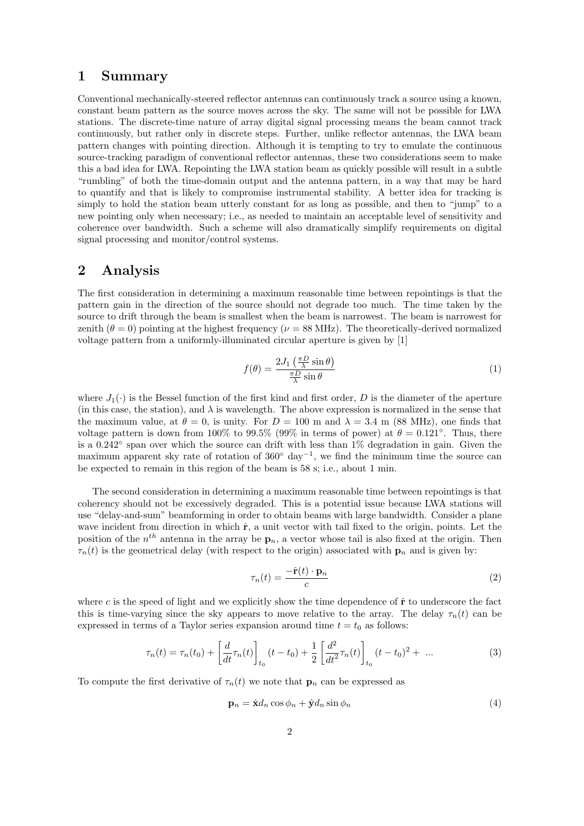#### 1 Summary

Conventional mechanically-steered reflector antennas can continuously track a source using a known, constant beam pattern as the source moves across the sky. The same will not be possible for LWA stations. The discrete-time nature of array digital signal processing means the beam cannot track continuously, but rather only in discrete steps. Further, unlike reflector antennas, the LWA beam pattern changes with pointing direction. Although it is tempting to try to emulate the continuous source-tracking paradigm of conventional reflector antennas, these two considerations seem to make this a bad idea for LWA. Repointing the LWA station beam as quickly possible will result in a subtle "rumbling" of both the time-domain output and the antenna pattern, in a way that may be hard to quantify and that is likely to compromise instrumental stability. A better idea for tracking is simply to hold the station beam utterly constant for as long as possible, and then to "jump" to a new pointing only when necessary; i.e., as needed to maintain an acceptable level of sensitivity and coherence over bandwidth. Such a scheme will also dramatically simplify requirements on digital signal processing and monitor/control systems.

#### 2 Analysis

The first consideration in determining a maximum reasonable time between repointings is that the pattern gain in the direction of the source should not degrade too much. The time taken by the source to drift through the beam is smallest when the beam is narrowest. The beam is narrowest for zenith  $(\theta = 0)$  pointing at the highest frequency ( $\nu = 88$  MHz). The theoretically-derived normalized voltage pattern from a uniformly-illuminated circular aperture is given by [1]

$$
f(\theta) = \frac{2J_1\left(\frac{\pi D}{\lambda}\sin\theta\right)}{\frac{\pi D}{\lambda}\sin\theta} \tag{1}
$$

where  $J_1(\cdot)$  is the Bessel function of the first kind and first order, D is the diameter of the aperture (in this case, the station), and  $\lambda$  is wavelength. The above expression is normalized in the sense that the maximum value, at  $\theta = 0$ , is unity. For  $D = 100$  m and  $\lambda = 3.4$  m (88 MHz), one finds that voltage pattern is down from 100% to 99.5% (99% in terms of power) at  $\theta = 0.121$ °. Thus, there is a 0.242◦ span over which the source can drift with less than 1% degradation in gain. Given the maximum apparent sky rate of rotation of 360◦ day<sup>−</sup><sup>1</sup> , we find the minimum time the source can be expected to remain in this region of the beam is 58 s; i.e., about 1 min.

The second consideration in determining a maximum reasonable time between repointings is that coherency should not be excessively degraded. This is a potential issue because LWA stations will use "delay-and-sum" beamforming in order to obtain beams with large bandwidth. Consider a plane wave incident from direction in which  $\hat{\mathbf{r}}$ , a unit vector with tail fixed to the origin, points. Let the position of the  $n^{th}$  antenna in the array be  $\mathbf{p}_n$ , a vector whose tail is also fixed at the origin. Then  $\tau_n(t)$  is the geometrical delay (with respect to the origin) associated with  $\mathbf{p}_n$  and is given by:

$$
\tau_n(t) = \frac{-\hat{\mathbf{r}}(t) \cdot \mathbf{p}_n}{c} \tag{2}
$$

where c is the speed of light and we explicitly show the time dependence of  $\hat{\mathbf{r}}$  to underscore the fact this is time-varying since the sky appears to move relative to the array. The delay  $\tau_n(t)$  can be expressed in terms of a Taylor series expansion around time  $t = t_0$  as follows:

$$
\tau_n(t) = \tau_n(t_0) + \left[\frac{d}{dt}\tau_n(t)\right]_{t_0} (t - t_0) + \frac{1}{2} \left[\frac{d^2}{dt^2}\tau_n(t)\right]_{t_0} (t - t_0)^2 + \dots \tag{3}
$$

To compute the first derivative of  $\tau_n(t)$  we note that  $\mathbf{p}_n$  can be expressed as

$$
\mathbf{p}_n = \hat{\mathbf{x}} d_n \cos \phi_n + \hat{\mathbf{y}} d_n \sin \phi_n \tag{4}
$$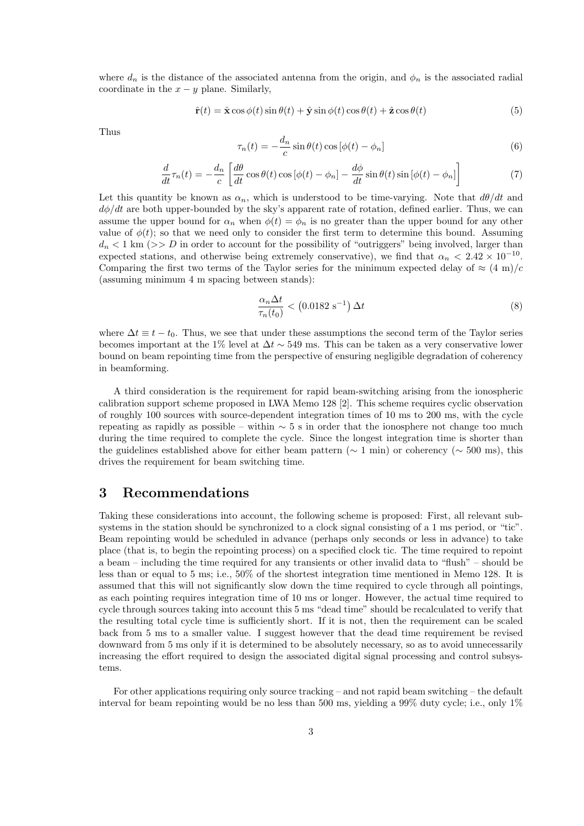where  $d_n$  is the distance of the associated antenna from the origin, and  $\phi_n$  is the associated radial coordinate in the  $x - y$  plane. Similarly,

$$
\hat{\mathbf{r}}(t) = \hat{\mathbf{x}}\cos\phi(t)\sin\theta(t) + \hat{\mathbf{y}}\sin\phi(t)\cos\theta(t) + \hat{\mathbf{z}}\cos\theta(t)
$$
\n(5)

Thus

$$
\tau_n(t) = -\frac{d_n}{c}\sin\theta(t)\cos\left[\phi(t) - \phi_n\right]
$$
\n(6)

$$
\frac{d}{dt}\tau_n(t) = -\frac{d_n}{c} \left[ \frac{d\theta}{dt} \cos \theta(t) \cos \left[\phi(t) - \phi_n\right] - \frac{d\phi}{dt} \sin \theta(t) \sin \left[\phi(t) - \phi_n\right] \right]
$$
(7)

Let this quantity be known as  $\alpha_n$ , which is understood to be time-varying. Note that  $d\theta/dt$  and  $d\phi/dt$  are both upper-bounded by the sky's apparent rate of rotation, defined earlier. Thus, we can assume the upper bound for  $\alpha_n$  when  $\phi(t) = \phi_n$  is no greater than the upper bound for any other value of  $\phi(t)$ ; so that we need only to consider the first term to determine this bound. Assuming  $d_n < 1$  km (>> D in order to account for the possibility of "outriggers" being involved, larger than expected stations, and otherwise being extremely conservative), we find that  $\alpha_n < 2.42 \times 10^{-10}$ . Comparing the first two terms of the Taylor series for the minimum expected delay of  $\approx (4 \text{ m})/c$ (assuming minimum 4 m spacing between stands):

$$
\frac{\alpha_n \Delta t}{\tau_n(t_0)} < \left(0.0182 \, \text{s}^{-1}\right) \Delta t \tag{8}
$$

where  $\Delta t \equiv t - t_0$ . Thus, we see that under these assumptions the second term of the Taylor series becomes important at the 1% level at  $\Delta t \sim 549$  ms. This can be taken as a very conservative lower bound on beam repointing time from the perspective of ensuring negligible degradation of coherency in beamforming.

A third consideration is the requirement for rapid beam-switching arising from the ionospheric calibration support scheme proposed in LWA Memo 128 [2]. This scheme requires cyclic observation of roughly 100 sources with source-dependent integration times of 10 ms to 200 ms, with the cycle repeating as rapidly as possible – within  $\sim$  5 s in order that the ionosphere not change too much during the time required to complete the cycle. Since the longest integration time is shorter than the guidelines established above for either beam pattern ( $\sim 1$  min) or coherency ( $\sim 500$  ms), this drives the requirement for beam switching time.

#### 3 Recommendations

Taking these considerations into account, the following scheme is proposed: First, all relevant subsystems in the station should be synchronized to a clock signal consisting of a 1 ms period, or "tic". Beam repointing would be scheduled in advance (perhaps only seconds or less in advance) to take place (that is, to begin the repointing process) on a specified clock tic. The time required to repoint a beam – including the time required for any transients or other invalid data to "flush" – should be less than or equal to 5 ms; i.e., 50% of the shortest integration time mentioned in Memo 128. It is assumed that this will not significantly slow down the time required to cycle through all pointings, as each pointing requires integration time of 10 ms or longer. However, the actual time required to cycle through sources taking into account this 5 ms "dead time" should be recalculated to verify that the resulting total cycle time is sufficiently short. If it is not, then the requirement can be scaled back from 5 ms to a smaller value. I suggest however that the dead time requirement be revised downward from 5 ms only if it is determined to be absolutely necessary, so as to avoid unnecessarily increasing the effort required to design the associated digital signal processing and control subsystems.

For other applications requiring only source tracking – and not rapid beam switching – the default interval for beam repointing would be no less than 500 ms, yielding a  $99\%$  duty cycle; i.e., only  $1\%$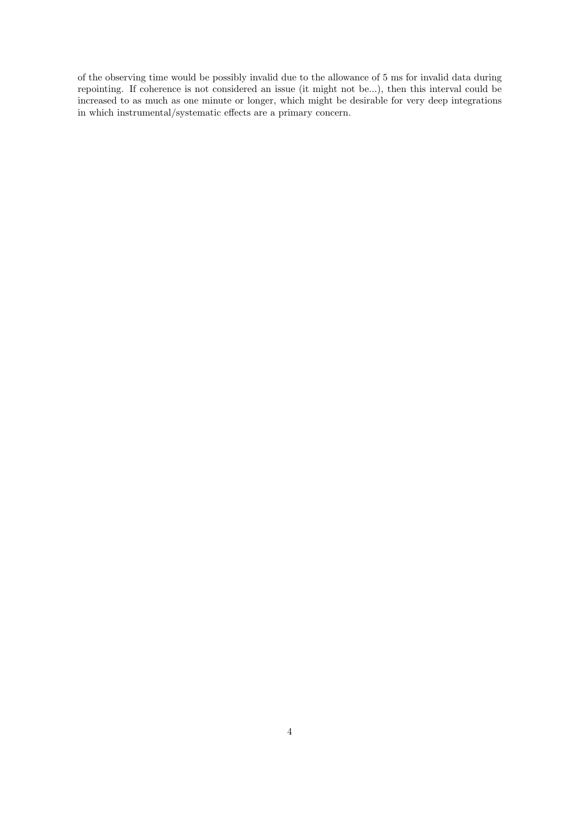of the observing time would be possibly invalid due to the allowance of 5 ms for invalid data during repointing. If coherence is not considered an issue (it might not be...), then this interval could be increased to as much as one minute or longer, which might be desirable for very deep integrations in which instrumental/systematic effects are a primary concern.